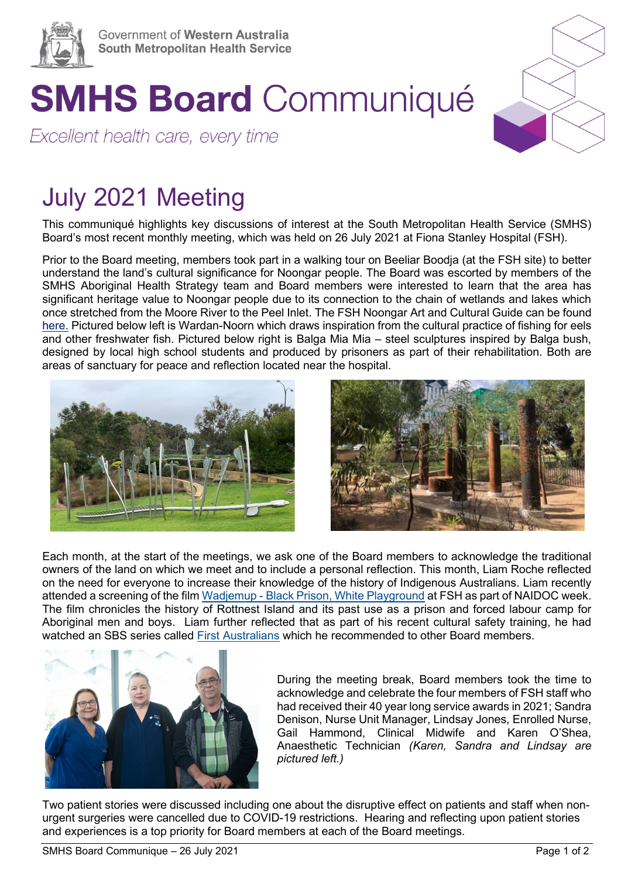

## **SMHS Board Communiqué**

Excellent health care, every time

## July 2021 Meeting

This communiqué highlights key discussions of interest at the South Metropolitan Health Service (SMHS) Board's most recent monthly meeting, which was held on 26 July 2021 at Fiona Stanley Hospital (FSH).

Prior to the Board meeting, members took part in a walking tour on Beeliar Boodja (at the FSH site) to better understand the land's cultural significance for Noongar people. The Board was escorted by members of the SMHS Aboriginal Health Strategy team and Board members were interested to learn that the area has significant heritage value to Noongar people due to its connection to the chain of wetlands and lakes which once stretched from the Moore River to the Peel Inlet. The FSH Noongar Art and Cultural Guide can be found [here.](https://www.fsh.health.wa.gov.au/About-us/Aboriginal-Heritage) Pictured below left is Wardan-Noorn which draws inspiration from the cultural practice of fishing for eels and other freshwater fish. Pictured below right is Balga Mia Mia – steel sculptures inspired by Balga bush, designed by local high school students and produced by prisoners as part of their rehabilitation. Both are areas of sanctuary for peace and reflection located near the hospital.





Each month, at the start of the meetings, we ask one of the Board members to acknowledge the traditional owners of the land on which we meet and to include a personal reflection. This month, Liam Roche reflected on the need for everyone to increase their knowledge of the history of Indigenous Australians. Liam recently attended a screening of the film Wadjemup - [Black Prison, White Playground](https://www.imdb.com/title/tt4152238/) at FSH as part of NAIDOC week. The film chronicles the history of Rottnest Island and its past use as a prison and forced labour camp for Aboriginal men and boys. Liam further reflected that as part of his recent cultural safety training, he had watched an SBS series called [First Australians](https://www.sbs.com.au/nitv/first-australians) which he recommended to other Board members.



During the meeting break, Board members took the time to acknowledge and celebrate the four members of FSH staff who had received their 40 year long service awards in 2021; Sandra Denison, Nurse Unit Manager, Lindsay Jones, Enrolled Nurse, Gail Hammond, Clinical Midwife and Karen O'Shea, Anaesthetic Technician *(Karen, Sandra and Lindsay are pictured left.)*

Two patient stories were discussed including one about the disruptive effect on patients and staff when nonurgent surgeries were cancelled due to COVID-19 restrictions. Hearing and reflecting upon patient stories and experiences is a top priority for Board members at each of the Board meetings.